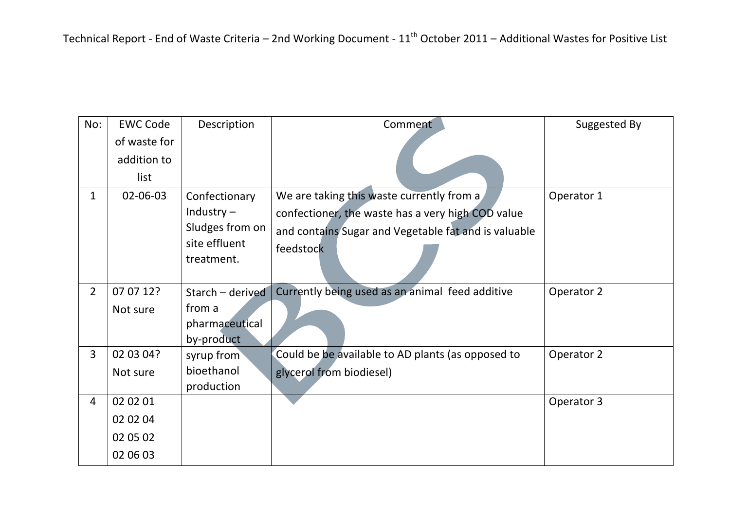| No:            | <b>EWC Code</b> | Description      | Comment                                              | Suggested By |
|----------------|-----------------|------------------|------------------------------------------------------|--------------|
|                | of waste for    |                  |                                                      |              |
|                | addition to     |                  |                                                      |              |
|                | list            |                  |                                                      |              |
| 1              | 02-06-03        | Confectionary    | We are taking this waste currently from a            | Operator 1   |
|                |                 | Industry $-$     | confectioner, the waste has a very high COD value    |              |
|                |                 | Sludges from on  | and contains Sugar and Vegetable fat and is valuable |              |
|                |                 | site effluent    | feedstock                                            |              |
|                |                 | treatment.       |                                                      |              |
| $\overline{2}$ | 07 07 12?       | Starch - derived | Currently being used as an animal feed additive      | Operator 2   |
|                | Not sure        | from a           |                                                      |              |
|                |                 | pharmaceutical   |                                                      |              |
|                |                 | by-product       |                                                      |              |
| 3              | 02 03 04?       | syrup from       | Could be be available to AD plants (as opposed to    | Operator 2   |
|                | Not sure        | bioethanol       | glycerol from biodiesel)                             |              |
|                |                 | production       |                                                      |              |
| 4              | 02 02 01        |                  |                                                      | Operator 3   |
|                | 02 02 04        |                  |                                                      |              |
|                | 02 05 02        |                  |                                                      |              |
|                | 02 06 03        |                  |                                                      |              |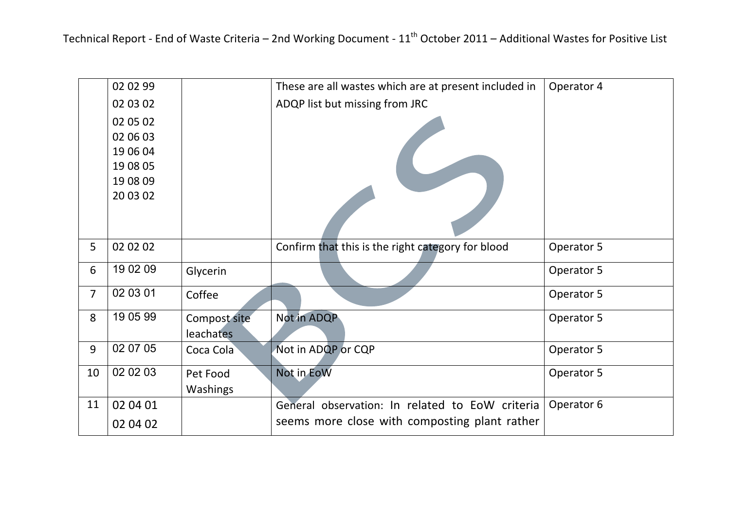Technical Report - End of Waste Criteria – 2nd Working Document - 11<sup>th</sup> October 2011 – Additional Wastes for Positive List

|                | 02 02 99 |                  | These are all wastes which are at present included in | Operator 4 |
|----------------|----------|------------------|-------------------------------------------------------|------------|
|                | 02 03 02 |                  | ADQP list but missing from JRC                        |            |
|                | 02 05 02 |                  |                                                       |            |
|                | 02 06 03 |                  |                                                       |            |
|                | 19 06 04 |                  |                                                       |            |
|                | 19 08 05 |                  |                                                       |            |
|                | 19 08 09 |                  |                                                       |            |
|                | 20 03 02 |                  |                                                       |            |
|                |          |                  |                                                       |            |
|                |          |                  |                                                       |            |
| 5              | 02 02 02 |                  | Confirm that this is the right category for blood     | Operator 5 |
| 6              | 19 02 09 | Glycerin         |                                                       | Operator 5 |
|                |          |                  |                                                       |            |
| $\overline{7}$ | 02 03 01 | Coffee           |                                                       | Operator 5 |
| 8              | 19 05 99 | Compost site     | Not in ADQP                                           | Operator 5 |
|                |          | <b>leachates</b> |                                                       |            |
| 9              | 02 07 05 | Coca Cola        | Not in ADQP or CQP                                    | Operator 5 |
| 10             | 02 02 03 | Pet Food         | Not in EoW                                            | Operator 5 |
|                |          | Washings         |                                                       |            |
| 11             | 02 04 01 |                  | General observation: In related to EoW criteria       | Operator 6 |
|                |          |                  |                                                       |            |
|                | 02 04 02 |                  | seems more close with composting plant rather         |            |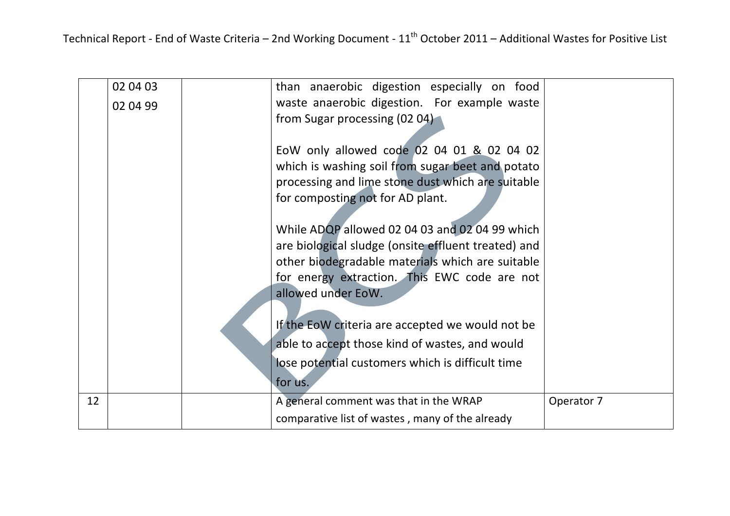|    | 02 04 03 | than anaerobic digestion especially on food         |            |
|----|----------|-----------------------------------------------------|------------|
|    | 02 04 99 | waste anaerobic digestion. For example waste        |            |
|    |          | from Sugar processing (02 04)                       |            |
|    |          |                                                     |            |
|    |          | EoW only allowed code 02 04 01 & 02 04 02           |            |
|    |          | which is washing soil from sugar beet and potato    |            |
|    |          | processing and lime stone dust which are suitable   |            |
|    |          | for composting not for AD plant.                    |            |
|    |          |                                                     |            |
|    |          | While ADQP allowed 02 04 03 and 02 04 99 which      |            |
|    |          | are biological sludge (onsite effluent treated) and |            |
|    |          | other biodegradable materials which are suitable    |            |
|    |          | for energy extraction. This EWC code are not        |            |
|    |          | allowed under EoW.                                  |            |
|    |          |                                                     |            |
|    |          | If the EoW criteria are accepted we would not be    |            |
|    |          | able to accept those kind of wastes, and would      |            |
|    |          | lose potential customers which is difficult time    |            |
|    |          | for us.                                             |            |
| 12 |          | A general comment was that in the WRAP              | Operator 7 |
|    |          | comparative list of wastes, many of the already     |            |